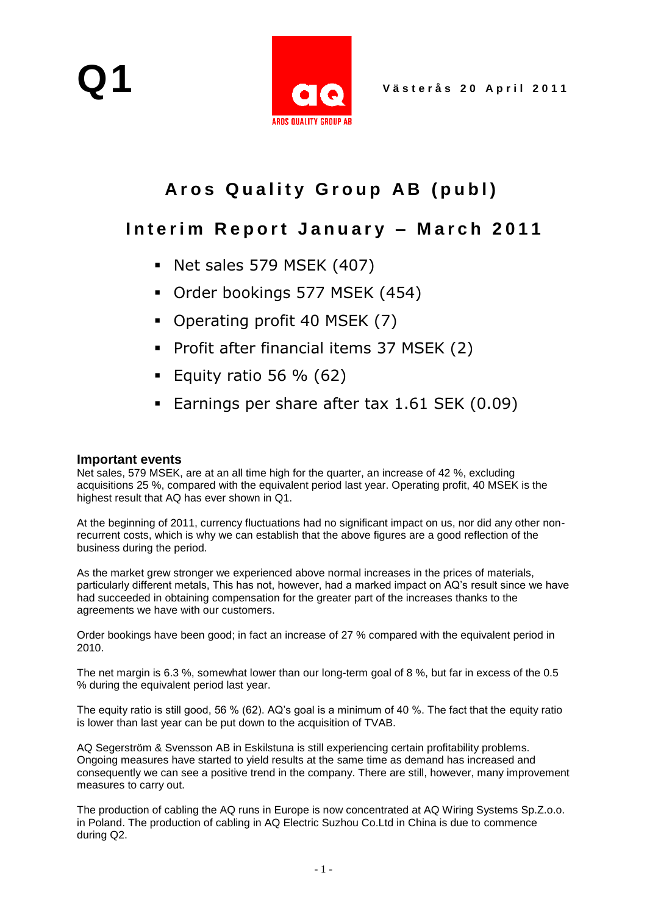

# Aros Quality Group AB (publ)

## Interim Report January - March 2011

- Net sales 579 MSEK (407)
- Order bookings 577 MSEK (454)
- Operating profit 40 MSEK (7)
- Profit after financial items 37 MSEK (2)
- Equity ratio 56 %  $(62)$
- **Earnings per share after tax 1.61 SEK (0.09)**

#### **Important events**

Net sales, 579 MSEK, are at an all time high for the quarter, an increase of 42 %, excluding acquisitions 25 %, compared with the equivalent period last year. Operating profit, 40 MSEK is the highest result that AQ has ever shown in Q1.

At the beginning of 2011, currency fluctuations had no significant impact on us, nor did any other nonrecurrent costs, which is why we can establish that the above figures are a good reflection of the business during the period.

As the market grew stronger we experienced above normal increases in the prices of materials, particularly different metals, This has not, however, had a marked impact on AQ's result since we have had succeeded in obtaining compensation for the greater part of the increases thanks to the agreements we have with our customers.

Order bookings have been good; in fact an increase of 27 % compared with the equivalent period in 2010.

The net margin is 6.3 %, somewhat lower than our long-term goal of 8 %, but far in excess of the 0.5 % during the equivalent period last year.

The equity ratio is still good, 56 % (62). AQ's goal is a minimum of 40 %. The fact that the equity ratio is lower than last year can be put down to the acquisition of TVAB.

AQ Segerström & Svensson AB in Eskilstuna is still experiencing certain profitability problems. Ongoing measures have started to yield results at the same time as demand has increased and consequently we can see a positive trend in the company. There are still, however, many improvement measures to carry out.

The production of cabling the AQ runs in Europe is now concentrated at AQ Wiring Systems Sp.Z.o.o. in Poland. The production of cabling in AQ Electric Suzhou Co.Ltd in China is due to commence during Q2.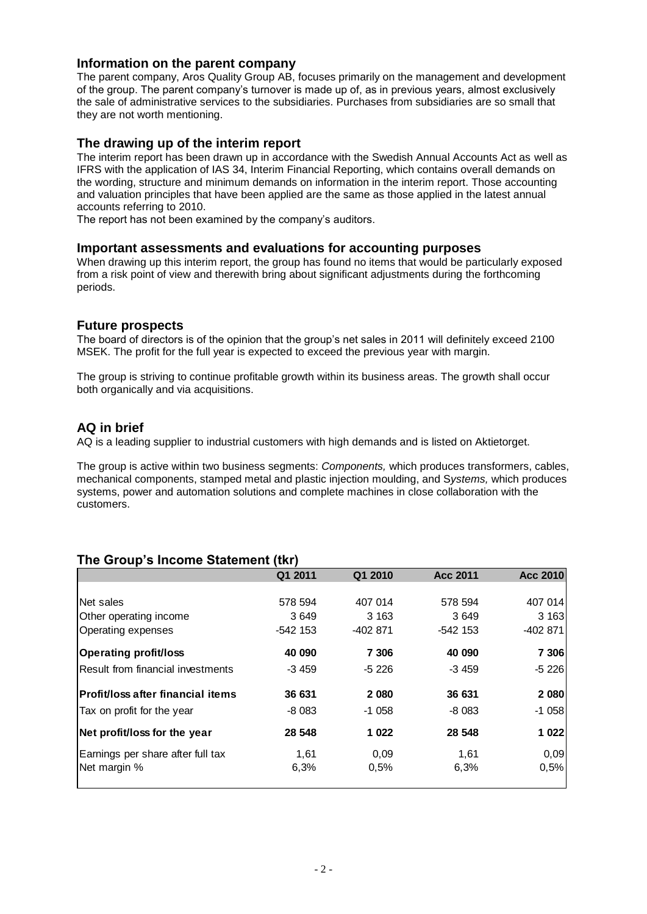#### **Information on the parent company**

The parent company, Aros Quality Group AB, focuses primarily on the management and development of the group. The parent company's turnover is made up of, as in previous years, almost exclusively the sale of administrative services to the subsidiaries. Purchases from subsidiaries are so small that they are not worth mentioning.

#### **The drawing up of the interim report**

The interim report has been drawn up in accordance with the Swedish Annual Accounts Act as well as IFRS with the application of IAS 34, Interim Financial Reporting, which contains overall demands on the wording, structure and minimum demands on information in the interim report. Those accounting and valuation principles that have been applied are the same as those applied in the latest annual accounts referring to 2010.

The report has not been examined by the company's auditors.

#### **Important assessments and evaluations for accounting purposes**

When drawing up this interim report, the group has found no items that would be particularly exposed from a risk point of view and therewith bring about significant adjustments during the forthcoming periods.

#### **Future prospects**

The board of directors is of the opinion that the group's net sales in 2011 will definitely exceed 2100 MSEK. The profit for the full year is expected to exceed the previous year with margin.

The group is striving to continue profitable growth within its business areas. The growth shall occur both organically and via acquisitions.

#### **AQ in brief**

AQ is a leading supplier to industrial customers with high demands and is listed on Aktietorget.

The group is active within two business segments: *Components,* which produces transformers, cables, mechanical components, stamped metal and plastic injection moulding, and S*ystems,* which produces systems, power and automation solutions and complete machines in close collaboration with the customers.

### **The Group's Income Statement (tkr)**

|                                          | Q1 2011    | Q1 2010  | <b>Acc 2011</b> | <b>Acc 2010</b> |
|------------------------------------------|------------|----------|-----------------|-----------------|
|                                          |            |          |                 |                 |
| Net sales                                | 578 594    | 407 014  | 578 594         | 407 014         |
| Other operating income                   | 3649       | 3 1 6 3  | 3649            | 3 1 6 3         |
| Operating expenses                       | $-542$ 153 | -402 871 | $-542$ 153      | -402 871        |
| <b>Operating profit/loss</b>             | 40 090     | 7 30 6   | 40 090          | 7 306           |
| Result from financial investments        | $-3459$    | $-5226$  | $-3459$         | $-5226$         |
| <b>Profit/loss after financial items</b> | 36 631     | 2 0 8 0  | 36 631          | 2 0 8 0         |
| Tax on profit for the year               | $-8083$    | $-1058$  | $-8083$         | $-1058$         |
| Net profit/loss for the year             | 28 548     | 1 0 2 2  | 28 548          | 1 0 2 2         |
| Earnings per share after full tax        | 1,61       | 0,09     | 1,61            | 0,09            |
| Net margin %                             | 6,3%       | 0,5%     | 6,3%            | 0,5%            |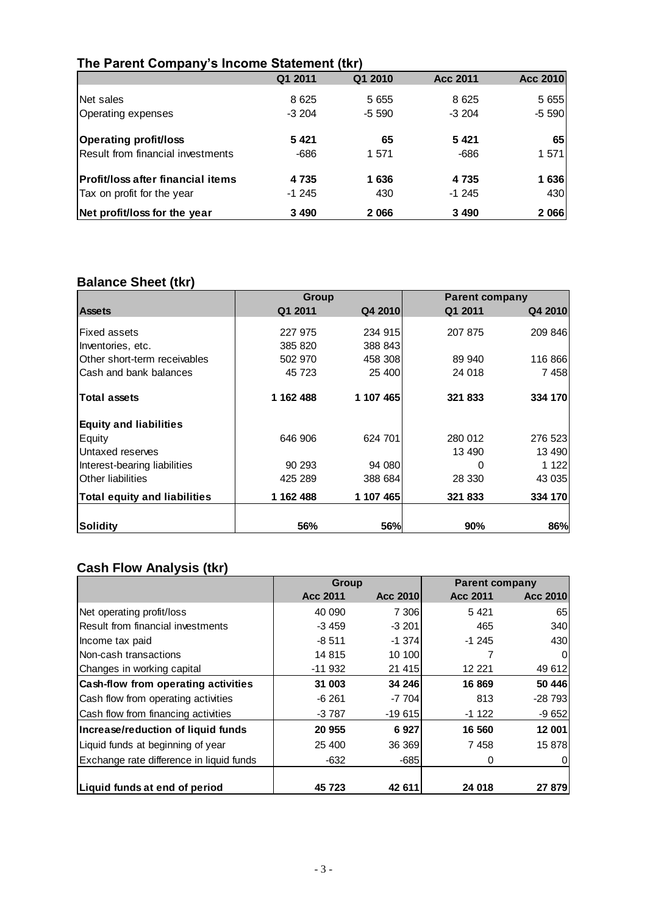## **The Parent Company's Income Statement (tkr)**

|                                          | Q1 2011 | Q1 2010 | <b>Acc 2011</b> | Acc 2010 |
|------------------------------------------|---------|---------|-----------------|----------|
| Net sales                                | 8 6 2 5 | 5 6 5 5 | 8 6 2 5         | 5 6 5 5  |
| Operating expenses                       | $-3204$ | $-5590$ | $-3204$         | $-5590$  |
| <b>Operating profit/loss</b>             | 5421    | 65      | 5421            | 65       |
| Result from financial investments        | -686    | 1571    | -686            | 1 571    |
| <b>Profit/loss after financial items</b> | 4 7 3 5 | 1636    | 4 7 3 5         | 1636     |
| Tax on profit for the year               | $-1245$ | 430     | $-1245$         | 430      |
| Net profit/loss for the year             | 3 4 9 0 | 2066    | 3 4 9 0         | 2 066    |

## **Balance Sheet (tkr)**

|                                     | <b>Group</b> |            | <b>Parent company</b> |         |
|-------------------------------------|--------------|------------|-----------------------|---------|
| <b>Assets</b>                       | Q1 2011      | Q4 2010    | Q1 2011               | Q4 2010 |
|                                     |              |            |                       |         |
| <b>Fixed assets</b>                 | 227 975      | 234 915    | 207 875               | 209 846 |
| Inventories, etc.                   | 385 820      | 388 843    |                       |         |
| Other short-term receivables        | 502 970      | 458 308    | 89 940                | 116 866 |
| Cash and bank balances              | 45 723       | 25 400     | 24 018                | 7458    |
| <b>Total assets</b>                 | 1 162 488    | 1 107 465  | 321 833               | 334 170 |
| <b>Equity and liabilities</b>       |              |            |                       |         |
| Equity                              | 646 906      | 624 701    | 280 012               | 276 523 |
| Untaxed reserves                    |              |            | 13 490                | 13 490  |
| Interest-bearing liabilities        | 90 293       | 94 080     | 0                     | 1 122   |
| Other liabilities                   | 425 289      | 388 684    | 28 330                | 43 0 35 |
| <b>Total equity and liabilities</b> | 1 162 488    | 1 107 465  | 321 833               | 334 170 |
|                                     |              |            |                       |         |
| lSoliditv                           | 56%          | <b>56%</b> | 90%                   | 86%     |

## **Cash Flow Analysis (tkr)**

|                                            | <b>Group</b>    |                 | <b>Parent company</b> |          |
|--------------------------------------------|-----------------|-----------------|-----------------------|----------|
|                                            | <b>Acc 2011</b> | <b>Acc 2010</b> | Acc 2011              | Acc 2010 |
| Net operating profit/loss                  | 40 090          | 7 306           | 5421                  | 65       |
| Result from financial investments          | $-3459$         | $-3201$         | 465                   | 340      |
| Income tax paid                            | $-8511$         | -1 374          | $-1245$               | 430      |
| Non-cash transactions                      | 14 815          | 10 100          |                       | 0        |
| Changes in working capital                 | $-11932$        | 21 415          | 12 221                | 49 612   |
| <b>Cash-flow from operating activities</b> | 31 003          | 34 246          | 16 869                | 50 446   |
| Cash flow from operating activities        | $-6261$         | $-7704$         | 813                   | $-28793$ |
| Cash flow from financing activities        | $-3787$         | $-19615$        | $-1122$               | $-9652$  |
| Increase/reduction of liquid funds         | 20 955          | 6927            | 16 560                | 12 001   |
| Liquid funds at beginning of year          | 25 400          | 36 369          | 7458                  | 15 878   |
| Exchange rate difference in liquid funds   | $-632$          | $-685$          | 0                     |          |
|                                            |                 |                 |                       |          |
| Liquid funds at end of period              | 45 723          | 42 611          | 24 018                | 27 879   |